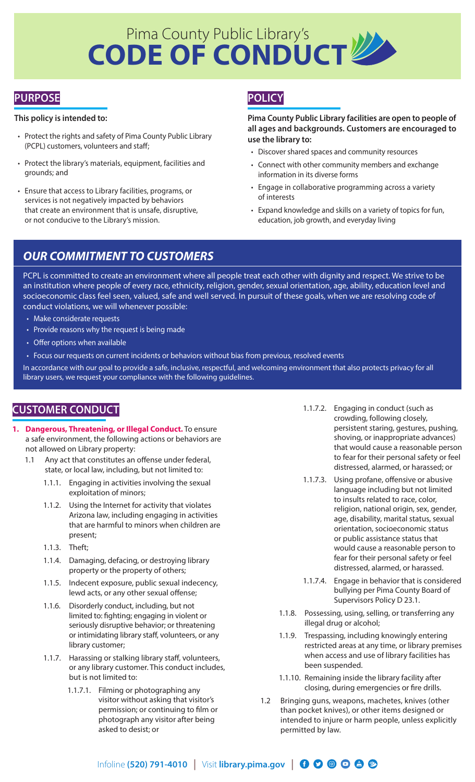# Pima County Public Library's **CODE OF CONDUCT**

# **PURPOSE**

## **This policy is intended to:**

- Protect the rights and safety of Pima County Public Library (PCPL) customers, volunteers and staff;
- Protect the library's materials, equipment, facilities and grounds; and
- Ensure that access to Library facilities, programs, or services is not negatively impacted by behaviors that create an environment that is unsafe, disruptive, or not conducive to the Library's mission.

# **POLICY**

**Pima County Public Library facilities are open to people of all ages and backgrounds. Customers are encouraged to use the library to:**

- Discover shared spaces and community resources
- Connect with other community members and exchange information in its diverse forms
- Engage in collaborative programming across a variety of interests
- Expand knowledge and skills on a variety of topics for fun, education, job growth, and everyday living

# *OUR COMMITMENT TO CUSTOMERS*

PCPL is committed to create an environment where all people treat each other with dignity and respect. We strive to be an institution where people of every race, ethnicity, religion, gender, sexual orientation, age, ability, education level and socioeconomic class feel seen, valued, safe and well served. In pursuit of these goals, when we are resolving code of conduct violations, we will whenever possible:

- Make considerate requests
- Provide reasons why the request is being made
- Offer options when available
- Focus our requests on current incidents or behaviors without bias from previous, resolved events

In accordance with our goal to provide a safe, inclusive, respectful, and welcoming environment that also protects privacy for all library users, we request your compliance with the following guidelines.

## **CUSTOMER CONDUCT**

- **1. Dangerous, Threatening, or Illegal Conduct.** To ensure a safe environment, the following actions or behaviors are not allowed on Library property:
	- 1.1 Any act that constitutes an offense under federal, state, or local law, including, but not limited to:
		- 1.1.1. Engaging in activities involving the sexual exploitation of minors;
		- 1.1.2. Using the Internet for activity that violates Arizona law, including engaging in activities that are harmful to minors when children are present;
		- 1.1.3. Theft;
		- 1.1.4. Damaging, defacing, or destroying library property or the property of others;
		- 1.1.5. Indecent exposure, public sexual indecency, lewd acts, or any other sexual offense;
		- 1.1.6. Disorderly conduct, including, but not limited to: fighting; engaging in violent or seriously disruptive behavior; or threatening or intimidating library staff, volunteers, or any library customer;
		- 1.1.7. Harassing or stalking library staff, volunteers, or any library customer. This conduct includes, but is not limited to:
			- 1.1.7.1. Filming or photographing any visitor without asking that visitor's permission; or continuing to film or photograph any visitor after being asked to desist; or
- 1.1.7.2. Engaging in conduct (such as crowding, following closely, persistent staring, gestures, pushing, shoving, or inappropriate advances) that would cause a reasonable person to fear for their personal safety or feel distressed, alarmed, or harassed; or
- 1.1.7.3. Using profane, offensive or abusive language including but not limited to insults related to race, color, religion, national origin, sex, gender, age, disability, marital status, sexual orientation, socioeconomic status or public assistance status that would cause a reasonable person to fear for their personal safety or feel distressed, alarmed, or harassed.
- 1.1.7.4. Engage in behavior that is considered bullying per Pima County Board of Supervisors Policy D 23.1.
- 1.1.8. Possessing, using, selling, or transferring any illegal drug or alcohol;
- 1.1.9. Trespassing, including knowingly entering restricted areas at any time, or library premises when access and use of library facilities has been suspended.
- 1.1.10. Remaining inside the library facility after closing, during emergencies or fire drills.
- 1.2 Bringing guns, weapons, machetes, knives (other than pocket knives), or other items designed or intended to injure or harm people, unless explicitly permitted by law.